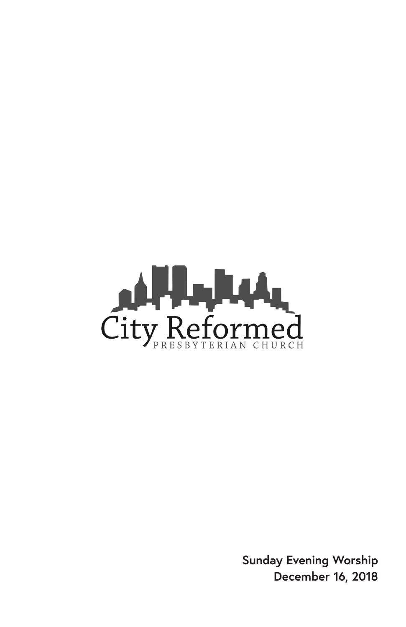

**Sunday Evening Worship December 16, 2018**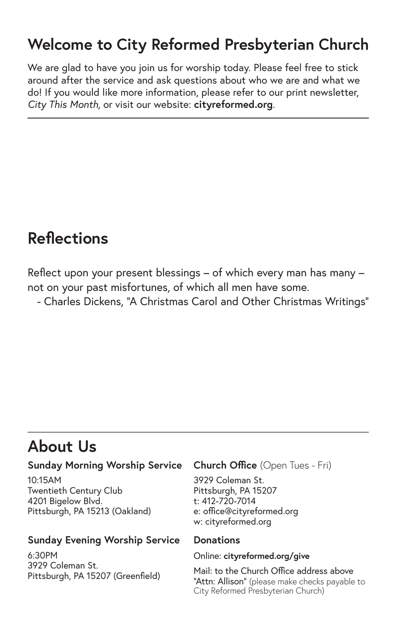#### **Welcome to City Reformed Presbyterian Church**

We are glad to have you join us for worship today. Please feel free to stick around after the service and ask questions about who we are and what we do! If you would like more information, please refer to our print newsletter, *City This Month,* or visit our website: **cityreformed.org**.

#### **Reflections**

Reflect upon your present blessings – of which every man has many – not on your past misfortunes, of which all men have some.

- Charles Dickens, "A Christmas Carol and Other Christmas Writings"

#### **About Us**

#### **Sunday Morning Worship Service**

10:15AM Twentieth Century Club 4201 Bigelow Blvd. Pittsburgh, PA 15213 (Oakland)

#### **Sunday Evening Worship Service**

6:30PM 3929 Coleman St. Pittsburgh, PA 15207 (Greenfield)

#### **Church Office** (Open Tues - Fri)

3929 Coleman St. Pittsburgh, PA 15207 t: 412-720-7014 e: office@cityreformed.org w: cityreformed.org

#### **Donations**

#### Online: **cityreformed.org/give**

Mail: to the Church Office address above "Attn: Allison" (please make checks payable to City Reformed Presbyterian Church)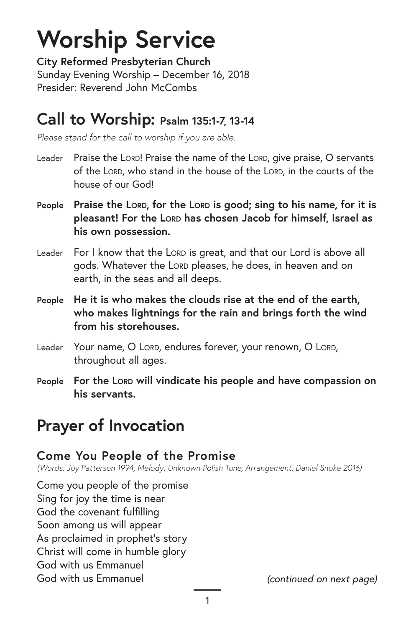# **Worship Service**

**City Reformed Presbyterian Church** Sunday Evening Worship – December 16, 2018 Presider: Reverend John McCombs

#### **Call to Worship: Psalm 135:1-7, 13-14**

*Please stand for the call to worship if you are able.*

- Leader Praise the Lorp! Praise the name of the Lorp, give praise, O servants of the LORD, who stand in the house of the LORD, in the courts of the house of our God!
- **People Praise the Lord, for the Lord is good; sing to his name, for it is pleasant! For the Lord has chosen Jacob for himself, Israel as his own possession.**
- Leader For I know that the Lorp is great, and that our Lord is above all gods. Whatever the Lord pleases, he does, in heaven and on earth, in the seas and all deeps.
- **People He it is who makes the clouds rise at the end of the earth, who makes lightnings for the rain and brings forth the wind from his storehouses.**
- Leader Your name, O LORD, endures forever, your renown, O LORD, throughout all ages.
- **People For the Lord will vindicate his people and have compassion on his servants.**

## **Prayer of Invocation**

#### **Come You People of the Promise**

*(Words: Joy Patterson 1994; Melody: Unknown Polish Tune; Arrangement: Daniel Snoke 2016)*

Come you people of the promise Sing for joy the time is near God the covenant fulfilling Soon among us will appear As proclaimed in prophet's story Christ will come in humble glory God with us Emmanuel God with us Emmanuel *(continued on next page)*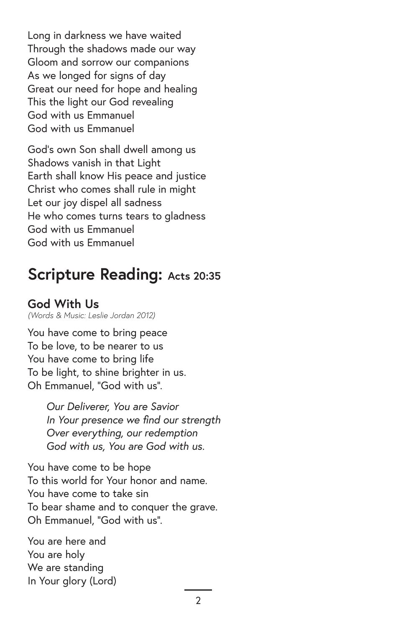Long in darkness we have waited Through the shadows made our way Gloom and sorrow our companions As we longed for signs of day Great our need for hope and healing This the light our God revealing God with us Emmanuel God with us Emmanuel

God's own Son shall dwell among us Shadows vanish in that Light Earth shall know His peace and justice Christ who comes shall rule in might Let our joy dispel all sadness He who comes turns tears to gladness God with us Emmanuel God with us Emmanuel

# **Scripture Reading: Acts 20:35**

**God With Us**  *(Words & Music: Leslie Jordan 2012)*

You have come to bring peace To be love, to be nearer to us You have come to bring life To be light, to shine brighter in us. Oh Emmanuel, "God with us".

> *Our Deliverer, You are Savior In Your presence we find our strength Over everything, our redemption God with us, You are God with us.*

You have come to be hope To this world for Your honor and name. You have come to take sin To bear shame and to conquer the grave. Oh Emmanuel, "God with us".

You are here and You are holy We are standing In Your glory (Lord)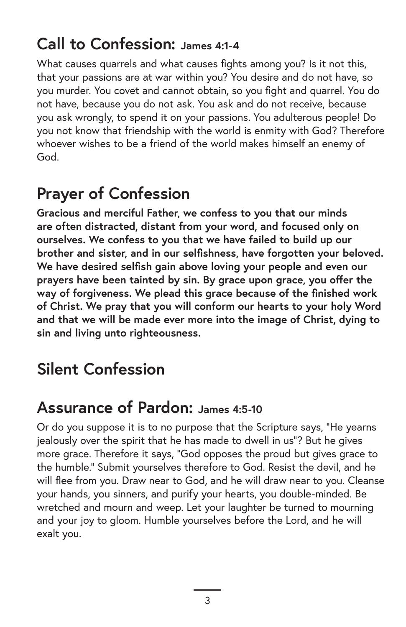## **Call to Confession: James 4:1-4**

What causes quarrels and what causes fights among you? Is it not this, that your passions are at war within you? You desire and do not have, so you murder. You covet and cannot obtain, so you fight and quarrel. You do not have, because you do not ask. You ask and do not receive, because you ask wrongly, to spend it on your passions. You adulterous people! Do you not know that friendship with the world is enmity with God? Therefore whoever wishes to be a friend of the world makes himself an enemy of God.

# **Prayer of Confession**

**Gracious and merciful Father, we confess to you that our minds are often distracted, distant from your word, and focused only on ourselves. We confess to you that we have failed to build up our brother and sister, and in our selfishness, have forgotten your beloved. We have desired selfish gain above loving your people and even our prayers have been tainted by sin. By grace upon grace, you offer the way of forgiveness. We plead this grace because of the finished work of Christ. We pray that you will conform our hearts to your holy Word and that we will be made ever more into the image of Christ, dying to sin and living unto righteousness.**

## **Silent Confession**

#### **Assurance of Pardon: James 4:5-10**

Or do you suppose it is to no purpose that the Scripture says, "He yearns jealously over the spirit that he has made to dwell in us"? But he gives more grace. Therefore it says, "God opposes the proud but gives grace to the humble." Submit yourselves therefore to God. Resist the devil, and he will flee from you. Draw near to God, and he will draw near to you. Cleanse your hands, you sinners, and purify your hearts, you double-minded. Be wretched and mourn and weep. Let your laughter be turned to mourning and your joy to gloom. Humble yourselves before the Lord, and he will exalt you.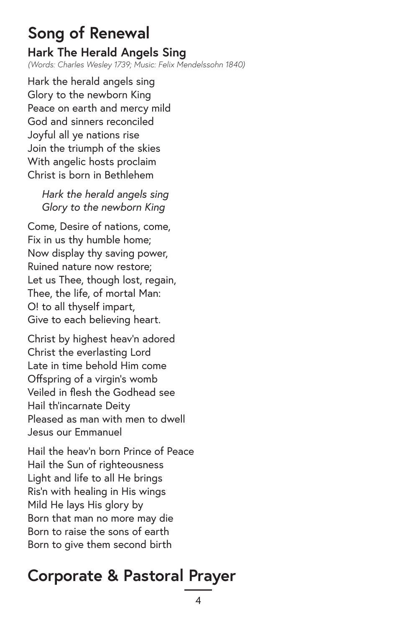# **Song of Renewal**

#### **Hark The Herald Angels Sing**

*(Words: Charles Wesley 1739; Music: Felix Mendelssohn 1840)*

Hark the herald angels sing Glory to the newborn King Peace on earth and mercy mild God and sinners reconciled Joyful all ye nations rise Join the triumph of the skies With angelic hosts proclaim Christ is born in Bethlehem

> *Hark the herald angels sing Glory to the newborn King*

Come, Desire of nations, come, Fix in us thy humble home; Now display thy saving power, Ruined nature now restore; Let us Thee, though lost, regain, Thee, the life, of mortal Man: O! to all thyself impart, Give to each believing heart.

Christ by highest heav'n adored Christ the everlasting Lord Late in time behold Him come Offspring of a virgin's womb Veiled in flesh the Godhead see Hail th'incarnate Deity Pleased as man with men to dwell Jesus our Emmanuel

Hail the heav'n born Prince of Peace Hail the Sun of righteousness Light and life to all He brings Ris'n with healing in His wings Mild He lays His glory by Born that man no more may die Born to raise the sons of earth Born to give them second birth

# **Corporate & Pastoral Prayer**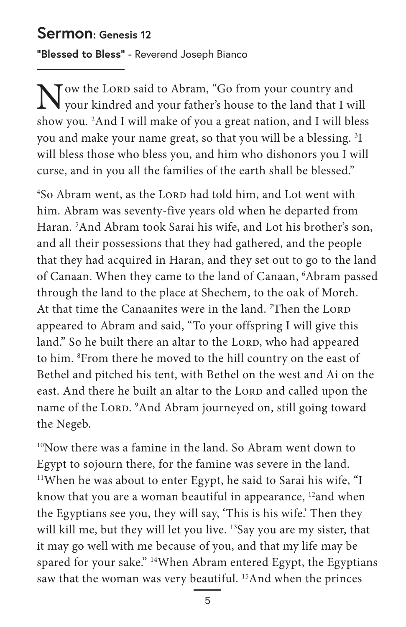#### **Sermon: Genesis 12**

**"Blessed to Bless"** - Reverend Joseph Bianco

Now the LORD said to Abram, "Go from your country and your kindred and your father's house to the land that I will show you. 2 And I will make of you a great nation, and I will bless you and make your name great, so that you will be a blessing. 3 I will bless those who bless you, and him who dishonors you I will curse, and in you all the families of the earth shall be blessed."

<sup>4</sup>So Abram went, as the Lorp had told him, and Lot went with him. Abram was seventy-five years old when he departed from Haran. 5 And Abram took Sarai his wife, and Lot his brother's son, and all their possessions that they had gathered, and the people that they had acquired in Haran, and they set out to go to the land of Canaan. When they came to the land of Canaan, 6 Abram passed through the land to the place at Shechem, to the oak of Moreh. At that time the Canaanites were in the land. *T*hen the LORD appeared to Abram and said, "To your offspring I will give this land." So he built there an altar to the LORD, who had appeared to him. 8 From there he moved to the hill country on the east of Bethel and pitched his tent, with Bethel on the west and Ai on the east. And there he built an altar to the LORD and called upon the name of the LORD. <sup>9</sup>And Abram journeyed on, still going toward the Negeb.

10 Now there was a famine in the land. So Abram went down to Egypt to sojourn there, for the famine was severe in the land. 11When he was about to enter Egypt, he said to Sarai his wife, "I know that you are a woman beautiful in appearance, <sup>12</sup>and when the Egyptians see you, they will say, 'This is his wife.' Then they will kill me, but they will let you live. <sup>13</sup>Say you are my sister, that it may go well with me because of you, and that my life may be spared for your sake." <sup>14</sup>When Abram entered Egypt, the Egyptians saw that the woman was very beautiful. 15And when the princes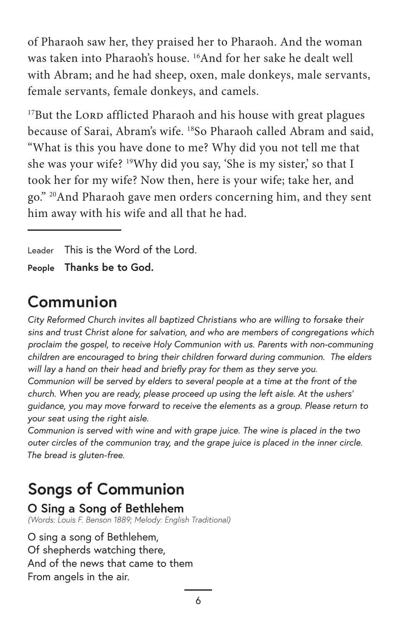of Pharaoh saw her, they praised her to Pharaoh. And the woman was taken into Pharaoh's house. 16And for her sake he dealt well with Abram; and he had sheep, oxen, male donkeys, male servants, female servants, female donkeys, and camels.

<sup>17</sup>But the LORD afflicted Pharaoh and his house with great plagues because of Sarai, Abram's wife. 18So Pharaoh called Abram and said, "What is this you have done to me? Why did you not tell me that she was your wife? 19Why did you say, 'She is my sister,' so that I took her for my wife? Now then, here is your wife; take her, and go." 20And Pharaoh gave men orders concerning him, and they sent him away with his wife and all that he had.

Leader This is the Word of the Lord.

**People Thanks be to God.**

### **Communion**

*City Reformed Church invites all baptized Christians who are willing to forsake their sins and trust Christ alone for salvation, and who are members of congregations which proclaim the gospel, to receive Holy Communion with us. Parents with non-communing children are encouraged to bring their children forward during communion. The elders will lay a hand on their head and briefly pray for them as they serve you. Communion will be served by elders to several people at a time at the front of the church. When you are ready, please proceed up using the left aisle. At the ushers'* 

*guidance, you may move forward to receive the elements as a group. Please return to your seat using the right aisle.* 

*Communion is served with wine and with grape juice. The wine is placed in the two outer circles of the communion tray, and the grape juice is placed in the inner circle. The bread is gluten-free.*

## **Songs of Communion**

#### **O Sing a Song of Bethlehem**

*(Words: Louis F. Benson 1889; Melody: English Traditional)*

O sing a song of Bethlehem, Of shepherds watching there, And of the news that came to them From angels in the air.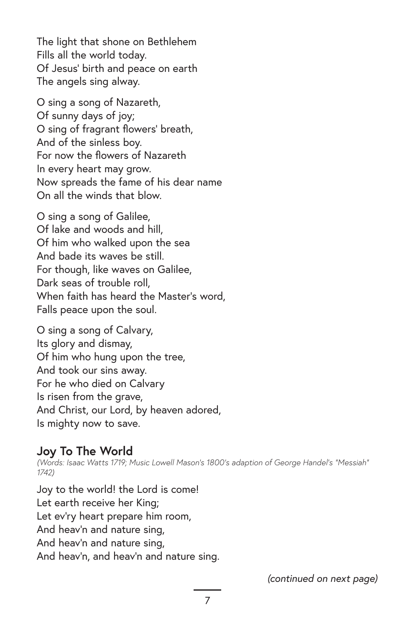The light that shone on Bethlehem Fills all the world today. Of Jesus' birth and peace on earth The angels sing alway.

O sing a song of Nazareth, Of sunny days of joy; O sing of fragrant flowers' breath, And of the sinless boy. For now the flowers of Nazareth In every heart may grow. Now spreads the fame of his dear name On all the winds that blow.

O sing a song of Galilee, Of lake and woods and hill, Of him who walked upon the sea And bade its waves be still. For though, like waves on Galilee, Dark seas of trouble roll, When faith has heard the Master's word, Falls peace upon the soul.

O sing a song of Calvary, Its glory and dismay, Of him who hung upon the tree, And took our sins away. For he who died on Calvary Is risen from the grave, And Christ, our Lord, by heaven adored, Is mighty now to save.

#### **Joy To The World**

*(Words: Isaac Watts 1719; Music Lowell Mason's 1800's adaption of George Handel's "Messiah" 1742)*

Joy to the world! the Lord is come! Let earth receive her King; Let ev'ry heart prepare him room, And heav'n and nature sing, And heav'n and nature sing, And heav'n, and heav'n and nature sing.

*(continued on next page)*